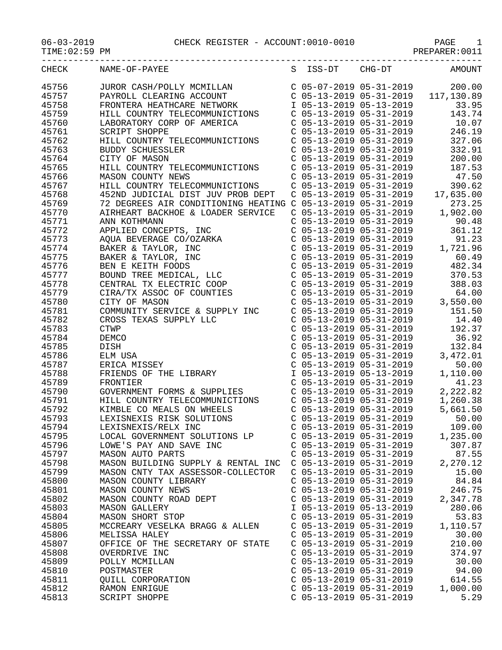| CHECK | NAME-OF-PAYEE                                                                                                                                                                                                            |                           | S ISS-DT CHG-DT                                        | AMOUNT                                                                       |
|-------|--------------------------------------------------------------------------------------------------------------------------------------------------------------------------------------------------------------------------|---------------------------|--------------------------------------------------------|------------------------------------------------------------------------------|
| 45756 | JUROR CASH/POLLY MCMILLAN                                                                                                                                                                                                |                           | $C$ 05-07-2019 05-31-2019                              | 200.00                                                                       |
| 45757 | PAYROLL CLEARING ACCOUNT                                                                                                                                                                                                 |                           |                                                        | C 05-13-2019 05-31-2019 117,130.89                                           |
| 45758 | FRONTERA HEATHCARE NETWORK                                                                                                                                                                                               |                           |                                                        |                                                                              |
| 45759 | HILL COUNTRY TELECOMMUNICTIONS                                                                                                                                                                                           |                           |                                                        | 1 05-13-2019 05-13-2019 33.95<br>C 05-13-2019 05-31-2019 143.74              |
| 45760 | LABORATORY CORP OF AMERICA                                                                                                                                                                                               |                           |                                                        | 10.07                                                                        |
| 45761 | <b>SCRIPT SHOPPE</b>                                                                                                                                                                                                     |                           | C 05-13-2019 05-31-2019<br>C 05-13-2019 05-31-2019     | 246.19                                                                       |
| 45762 | HILL COUNTRY TELECOMMUNICTIONS                                                                                                                                                                                           |                           | $C$ 05-13-2019 05-31-2019                              | 327.06                                                                       |
| 45763 | BUDDY SCHUESSLER                                                                                                                                                                                                         |                           | C 05-13-2019 05-31-2019                                | 332.91                                                                       |
| 45764 | CITY OF MASON                                                                                                                                                                                                            |                           | $C$ 05-13-2019 05-31-2019                              | 200.00                                                                       |
| 45765 | HILL COUNTRY TELECOMMUNICTIONS                                                                                                                                                                                           |                           |                                                        | 187.53                                                                       |
| 45766 | MASON COUNTY NEWS                                                                                                                                                                                                        |                           | C 05-13-2019 05-31-2019<br>C 05-13-2019 05-31-2019     | 47.50                                                                        |
| 45767 | HILL COUNTRY TELECOMMUNICTIONS                                                                                                                                                                                           |                           | $C$ 05-13-2019 05-31-2019                              | 390.62                                                                       |
| 45768 | 452ND JUDICIAL DIST JUV PROB DEPT                                                                                                                                                                                        |                           | $C$ 05-13-2019 05-31-2019                              | 17,635.00                                                                    |
| 45769 | 452ND JUDICIAL DISI JUV FROM DELLETTE CONFERENCE 12 DEGREES AIR CONDITIONING HEATING C 05-13-2019 05-31-2019<br>ATRHEART BACKHOE & LOADER SERVICE C 05-13-2019 05-31-2019 1                                              |                           |                                                        | 273.25                                                                       |
| 45770 | AIRHEART BACKHOE & LOADER SERVICE                                                                                                                                                                                        |                           |                                                        | 1,902.00                                                                     |
| 45771 | ANN KOTHMANN                                                                                                                                                                                                             |                           |                                                        | 90.48                                                                        |
| 45772 | APPLIED CONCEPTS, INC                                                                                                                                                                                                    |                           | C 05-13-2019 05-31-2019<br>C 05-13-2019 05-31-2019     | 361.12                                                                       |
| 45773 |                                                                                                                                                                                                                          |                           | $C$ 05-13-2019 05-31-2019<br>$C$ 05-13-2019 05-31-2019 | 91.23                                                                        |
| 45774 |                                                                                                                                                                                                                          |                           |                                                        | 1,721.96                                                                     |
| 45775 |                                                                                                                                                                                                                          |                           |                                                        | $C$ 05-13-2019 05-31-2019 60.49                                              |
| 45776 | APPLIED CONCEPTS, INC<br>AQUA BEVERAGE CO/OZARKA<br>BAKER & TAYLOR, INC<br>BAKER & TAYLOR, INC<br>BEN E KEITH FOODS<br>BOUND TREE MEDICAL, LLC<br>CENTRAL TX ELECTRIC COOP<br>CIRA/TX ASSOC OF COUNTIES<br>CITY OF MASON |                           |                                                        |                                                                              |
| 45777 |                                                                                                                                                                                                                          |                           |                                                        | C $05-13-2019$ $05-31-2019$ $482.34$<br>C $05-13-2019$ $05-31-2019$ $370.53$ |
| 45778 |                                                                                                                                                                                                                          |                           | $C$ 05-13-2019 05-31-2019                              | 388.03                                                                       |
| 45779 |                                                                                                                                                                                                                          |                           |                                                        | C 05-13-2019 05-31-2019 64.00<br>C 05-13-2019 05-31-2019 3,550.00            |
| 45780 |                                                                                                                                                                                                                          |                           |                                                        |                                                                              |
| 45781 | COMMUNITY SERVICE & SUPPLY INC                                                                                                                                                                                           |                           | $C$ 05-13-2019 05-31-2019                              | 151.50                                                                       |
| 45782 |                                                                                                                                                                                                                          |                           |                                                        | 14.40                                                                        |
| 45783 |                                                                                                                                                                                                                          |                           | C 05-13-2019 05-31-2019<br>C 05-13-2019 05-31-2019     | 192.37                                                                       |
| 45784 |                                                                                                                                                                                                                          |                           |                                                        | $C$ 05-13-2019 05-31-2019 36.92                                              |
| 45785 | CROSS TEXAS SUPPLY LLC<br>CTWP<br>DEMCO<br>DISH<br>ELM USA<br>ERICA MISSEY<br>FRIENDS OF THE LIBRARY<br>FRONTIER                                                                                                         |                           | C 05-13-2019 05-31-2019                                | 132.84                                                                       |
| 45786 |                                                                                                                                                                                                                          |                           | C 05-13-2019 05-31-2019                                | 3,472.01                                                                     |
| 45787 |                                                                                                                                                                                                                          | $C$ 05-13-2019 05-31-2019 |                                                        | 50.00                                                                        |
| 45788 |                                                                                                                                                                                                                          | I 05-13-2019 05-13-2019   |                                                        | 1,110.00                                                                     |
| 45789 | FRONTIER                                                                                                                                                                                                                 | $C$ 05-13-2019 05-31-2019 |                                                        | 41.23                                                                        |
| 45790 | GOVERNMENT FORMS & SUPPLIES                                                                                                                                                                                              |                           | $C$ 05-13-2019 05-31-2019                              | 2,222.82                                                                     |
| 45791 | HILL COUNTRY TELECOMMUNICTIONS                                                                                                                                                                                           |                           | C 05-13-2019 05-31-2019                                | 1,260.38                                                                     |
| 45792 | KIMBLE CO MEALS ON WHEELS                                                                                                                                                                                                |                           | $C$ 05-13-2019 05-31-2019                              | 5,661.50                                                                     |
| 45793 | LEXISNEXIS RISK SOLUTIONS                                                                                                                                                                                                | $C$ 05-13-2019 05-31-2019 |                                                        | 50.00                                                                        |
| 45794 | LEXISNEXIS/RELX INC                                                                                                                                                                                                      | C 05-13-2019 05-31-2019   |                                                        | 109.00                                                                       |
| 45795 | LOCAL GOVERNMENT SOLUTIONS LP                                                                                                                                                                                            | $C$ 05-13-2019 05-31-2019 |                                                        | 1,235.00                                                                     |
| 45796 | LOWE'S PAY AND SAVE INC                                                                                                                                                                                                  | $C$ 05-13-2019 05-31-2019 |                                                        | 307.87                                                                       |
| 45797 | MASON AUTO PARTS                                                                                                                                                                                                         | $C$ 05-13-2019 05-31-2019 |                                                        | 87.55                                                                        |
| 45798 | MASON BUILDING SUPPLY & RENTAL INC                                                                                                                                                                                       | $C$ 05-13-2019 05-31-2019 |                                                        | 2,270.12                                                                     |
| 45799 | MASON CNTY TAX ASSESSOR-COLLECTOR                                                                                                                                                                                        | C 05-13-2019 05-31-2019   |                                                        | 15.00                                                                        |
| 45800 | MASON COUNTY LIBRARY                                                                                                                                                                                                     | $C$ 05-13-2019 05-31-2019 |                                                        | 84.84                                                                        |
| 45801 | MASON COUNTY NEWS                                                                                                                                                                                                        | $C$ 05-13-2019 05-31-2019 |                                                        | 246.75                                                                       |
| 45802 | MASON COUNTY ROAD DEPT                                                                                                                                                                                                   | $C$ 05-13-2019 05-31-2019 |                                                        | 2,347.78                                                                     |
| 45803 | <b>MASON GALLERY</b>                                                                                                                                                                                                     | I 05-13-2019 05-13-2019   |                                                        | 280.06                                                                       |
| 45804 | MASON SHORT STOP                                                                                                                                                                                                         | $C$ 05-13-2019 05-31-2019 |                                                        | 53.83                                                                        |
| 45805 | MCCREARY VESELKA BRAGG & ALLEN                                                                                                                                                                                           | $C$ 05-13-2019 05-31-2019 |                                                        | 1,110.57                                                                     |
| 45806 | MELISSA HALEY                                                                                                                                                                                                            | $C$ 05-13-2019 05-31-2019 |                                                        | 30.00                                                                        |
| 45807 | OFFICE OF THE SECRETARY OF STATE                                                                                                                                                                                         | $C$ 05-13-2019 05-31-2019 |                                                        | 210.00                                                                       |
| 45808 | OVERDRIVE INC                                                                                                                                                                                                            | $C$ 05-13-2019 05-31-2019 |                                                        | 374.97                                                                       |
| 45809 | POLLY MCMILLAN                                                                                                                                                                                                           | $C$ 05-13-2019 05-31-2019 |                                                        | 30.00                                                                        |
| 45810 | POSTMASTER                                                                                                                                                                                                               | $C$ 05-13-2019 05-31-2019 |                                                        | 94.00                                                                        |
| 45811 | QUILL CORPORATION                                                                                                                                                                                                        | $C$ 05-13-2019 05-31-2019 |                                                        | 614.55                                                                       |
| 45812 | RAMON ENRIGUE                                                                                                                                                                                                            | $C$ 05-13-2019 05-31-2019 |                                                        | 1,000.00                                                                     |
| 45813 | SCRIPT SHOPPE                                                                                                                                                                                                            | $C$ 05-13-2019 05-31-2019 |                                                        | 5.29                                                                         |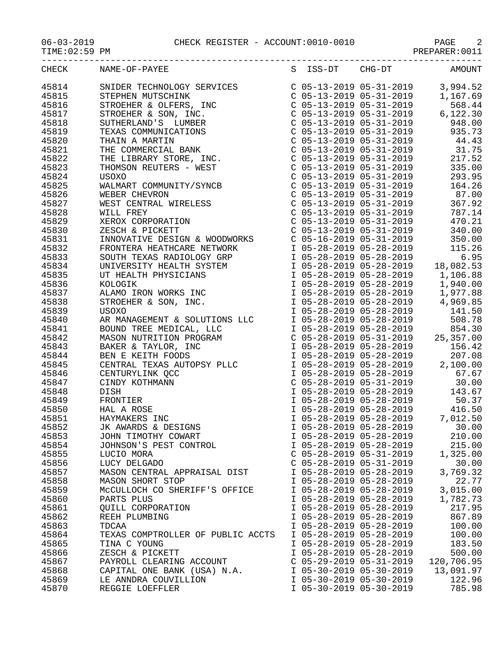06-03-2019 CHECK REGISTER - ACCOUNT:0010-0010 PAGE 2

-----------------------------------------------------------------------------------

|  | $06 - 03 - 2019$ |  |  |  |
|--|------------------|--|--|--|
|--|------------------|--|--|--|

PAGE 2<br>PREPARER:0011

| CHECK | NAME-OF-PAYEE                     | S ISS-DT                  | $CHG-DT$ | AMOUNT     |
|-------|-----------------------------------|---------------------------|----------|------------|
| 45814 |                                   |                           |          |            |
| 45815 |                                   |                           |          |            |
| 45816 |                                   |                           |          |            |
| 45817 |                                   |                           |          |            |
| 45818 |                                   |                           |          |            |
| 45819 |                                   |                           |          |            |
| 45820 |                                   |                           |          |            |
| 45821 |                                   |                           |          |            |
| 45822 |                                   |                           |          |            |
| 45823 |                                   |                           |          |            |
| 45824 |                                   |                           |          |            |
| 45825 |                                   |                           |          |            |
| 45826 |                                   |                           |          |            |
| 45827 |                                   |                           |          |            |
| 45828 |                                   |                           |          |            |
| 45829 |                                   |                           |          |            |
| 45830 |                                   |                           |          |            |
| 45831 |                                   |                           |          |            |
| 45832 |                                   |                           |          |            |
| 45833 |                                   |                           |          |            |
| 45834 |                                   |                           |          |            |
| 45835 |                                   |                           |          |            |
| 45836 |                                   |                           |          |            |
| 45837 |                                   |                           |          |            |
| 45838 |                                   |                           |          |            |
| 45839 |                                   |                           |          |            |
| 45840 |                                   |                           |          |            |
| 45841 |                                   |                           |          |            |
| 45842 |                                   |                           |          |            |
| 45843 |                                   |                           |          |            |
| 45844 |                                   |                           |          |            |
| 45845 |                                   |                           |          |            |
| 45846 |                                   |                           |          |            |
| 45847 |                                   |                           |          |            |
| 45848 |                                   |                           |          |            |
| 45849 |                                   |                           |          |            |
| 45850 |                                   |                           |          |            |
| 45851 |                                   |                           |          |            |
| 45852 |                                   |                           |          |            |
| 45853 |                                   |                           |          |            |
| 45854 |                                   |                           |          |            |
| 45855 | LUCIO MORA                        | $C$ 05-28-2019 05-31-2019 |          | 1,325.00   |
| 45856 | LUCY DELGADO                      | $C$ 05-28-2019 05-31-2019 |          | 30.00      |
| 45857 | MASON CENTRAL APPRAISAL DIST      | I 05-28-2019 05-28-2019   |          | 3,769.32   |
| 45858 | MASON SHORT STOP                  | I 05-28-2019 05-28-2019   |          | 22.77      |
| 45859 | MCCULLOCH CO SHERIFF'S OFFICE     | I 05-28-2019 05-28-2019   |          | 3,015.00   |
| 45860 | PARTS PLUS                        | I 05-28-2019 05-28-2019   |          | 1,782.73   |
| 45861 | QUILL CORPORATION                 | I 05-28-2019 05-28-2019   |          | 217.95     |
| 45862 | REEH PLUMBING                     | I 05-28-2019 05-28-2019   |          | 867.89     |
| 45863 | TDCAA                             | I 05-28-2019 05-28-2019   |          | 100.00     |
| 45864 | TEXAS COMPTROLLER OF PUBLIC ACCTS | I 05-28-2019 05-28-2019   |          | 100.00     |
| 45865 | TINA C YOUNG                      | I 05-28-2019 05-28-2019   |          | 183.50     |
| 45866 | ZESCH & PICKETT                   | I 05-28-2019 05-28-2019   |          | 500.00     |
| 45867 | PAYROLL CLEARING ACCOUNT          | $C$ 05-29-2019 05-31-2019 |          | 120,706.95 |
| 45868 | CAPITAL ONE BANK (USA) N.A.       | I 05-30-2019 05-30-2019   |          | 13,091.97  |
| 45869 | LE ANNDRA COUVILLION              | I 05-30-2019 05-30-2019   |          | 122.96     |
| 45870 | REGGIE LOEFFLER                   | I 05-30-2019 05-30-2019   |          | 785.98     |